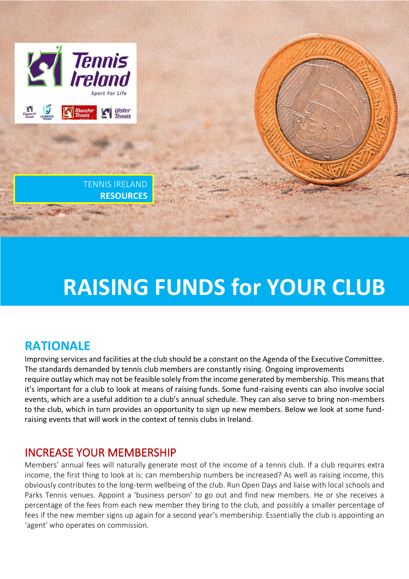

# **RAISING FUNDS for YOUR CLUB**

# **RATIONALE**

Improving services and facilities at the club should be a constant on the Agenda of the Executive Committee. The standards demanded by tennis club members are constantly rising. Ongoing improvements require outlay which may not be feasible solely from the income generated by membership. This means that it's important for a club to look at means of raising funds. Some fund-raising events can also involve social events, which are a useful addition to a club's annual schedule. They can also serve to bring non-members to the club, which in turn provides an opportunity to sign up new members. Below we look at some fundraising events that will work in the context of tennis clubs in Ireland.

#### INCREASE YOUR MEMBERSHIP

Members' annual fees will naturally generate most of the income of a tennis club. If a club requires extra income, the first thing to look at is: can membership numbers be increased? As well as raising income, this obviously contributes to the long-term wellbeing of the club. Run Open Days and liaise with local schools and Parks Tennis venues. Appoint a 'business person' to go out and find new members. He or she receives a percentage of the fees from each new member they bring to the club, and possibly a smaller percentage of fees if the new member signs up again for a second year's membership. Essentially the club is appointing an 'agent' who operates on commission.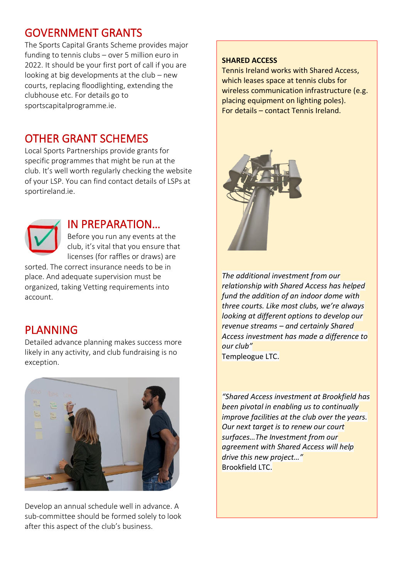### GOVERNMENT GRANTS

The Sports Capital Grants Scheme provides major funding to tennis clubs – over 5 million euro in 2022. It should be your first port of call if you are looking at big developments at the club – new courts, replacing floodlighting, extending the clubhouse etc. For details go to sportscapitalprogramme.ie.

### OTHER GRANT SCHEMES

Local Sports Partnerships provide grants for specific programmes that might be run at the club. It's well worth regularly checking the website of your LSP. You can find contact details of LSPs at sportireland.ie.



#### IN PREPARATION…

Before you run any events at the club, it's vital that you ensure that licenses (for raffles or draws) are

sorted. The correct insurance needs to be in place. And adequate supervision must be organized, taking Vetting requirements into account.

### PLANNING

Detailed advance planning makes success more likely in any activity, and club fundraising is no exception.



Develop an annual schedule well in advance. A sub-committee should be formed solely to look after this aspect of the club's business.

#### **SHARED ACCESS**

Tennis Ireland works with Shared Access, which leases space at tennis clubs for wireless communication infrastructure (e.g. placing equipment on lighting poles). For details – contact Tennis Ireland.



*The additional investment from our relationship with Shared Access has helped fund the addition of an indoor dome with three courts. Like most clubs, we're always looking at different options to develop our revenue streams – and certainly Shared Access investment has made a difference to our club"*

Templeogue LTC.

*"Shared Access investment at Brookfield has been pivotal in enabling us to continually improve facilities at the club over the years. Our next target is to renew our court surfaces…The Investment from our agreement with Shared Access will help drive this new project…"* Brookfield LTC.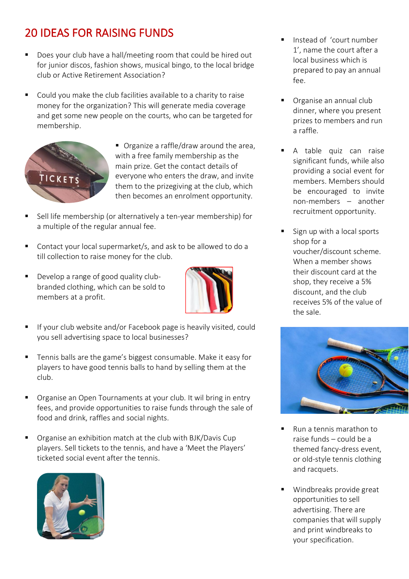# 20 IDEAS FOR RAISING FUNDS

- Does your club have a hall/meeting room that could be hired out for junior discos, fashion shows, musical bingo, to the local bridge club or Active Retirement Association?
- Could you make the club facilities available to a charity to raise money for the organization? This will generate media coverage and get some new people on the courts, who can be targeted for membership.



■ Organize a raffle/draw around the area, with a free family membership as the main prize. Get the contact details of everyone who enters the draw, and invite them to the prizegiving at the club, which then becomes an enrolment opportunity.

- Sell life membership (or alternatively a ten-year membership) for a multiple of the regular annual fee.
- Contact your local supermarket/s, and ask to be allowed to do a till collection to raise money for the club.
- Develop a range of good quality clubbranded clothing, which can be sold to members at a profit.



- If your club website and/or Facebook page is heavily visited, could you sell advertising space to local businesses?
- Tennis balls are the game's biggest consumable. Make it easy for players to have good tennis balls to hand by selling them at the club.
- Organise an Open Tournaments at your club. It wil bring in entry fees, and provide opportunities to raise funds through the sale of food and drink, raffles and social nights.
- Organise an exhibition match at the club with BJK/Davis Cup players. Sell tickets to the tennis, and have a 'Meet the Players' ticketed social event after the tennis.



- Instead of 'court number 1', name the court after a local business which is prepared to pay an annual fee.
- Organise an annual club dinner, where you present prizes to members and run a raffle.
- A table quiz can raise significant funds, while also providing a social event for members. Members should be encouraged to invite non-members – another recruitment opportunity.
- Sign up with a local sports shop for a voucher/discount scheme. When a member shows their discount card at the shop, they receive a 5% discount, and the club receives 5% of the value of the sale.



- Run a tennis marathon to raise funds – could be a themed fancy-dress event, or old-style tennis clothing and racquets.
- Windbreaks provide great opportunities to sell advertising. There are companies that will supply and print windbreaks to your specification.